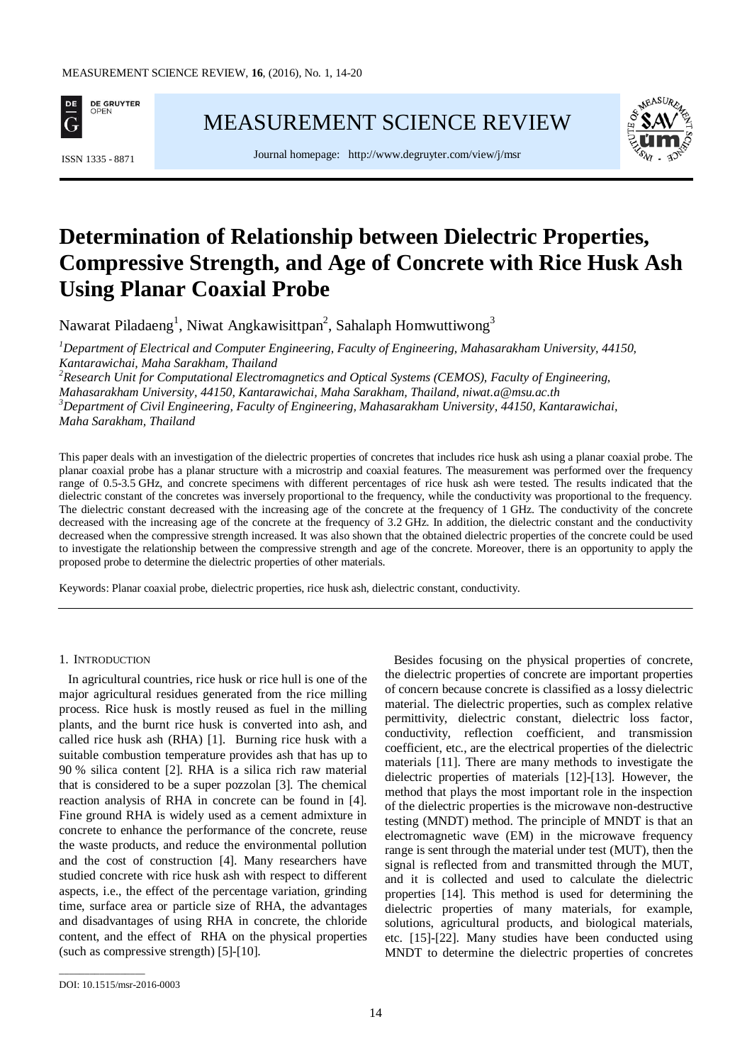

[MEASUREMENT SCIENCE REVIEW](http://www.measurement.sk/)





# **Determination of Relationship between Dielectric Properties, Compressive Strength, and Age of Concrete with Rice Husk Ash Using Planar Coaxial Probe**

Nawarat Piladaeng<sup>1</sup>, Niwat Angkawisittpan<sup>2</sup>, Sahalaph Homwuttiwong<sup>3</sup>

*1 Department of Electrical and Computer Engineering, Faculty of Engineering, Mahasarakham University, 44150, Kantarawichai, Maha Sarakham, Thailand*

*2 Research Unit for Computational Electromagnetics and Optical Systems (CEMOS), Faculty of Engineering, Mahasarakham University, 44150, Kantarawichai, Maha Sarakham, Thailand, niwat.a@msu.ac.th <sup>3</sup> Department of Civil Engineering, Faculty of Engineering, Mahasarakham University, 44150, Kantarawichai, Maha Sarakham, Thailand*

This paper deals with an investigation of the dielectric properties of concretes that includes rice husk ash using a planar coaxial probe. The planar coaxial probe has a planar structure with a microstrip and coaxial features. The measurement was performed over the frequency range of 0.5-3.5 GHz, and concrete specimens with different percentages of rice husk ash were tested. The results indicated that the dielectric constant of the concretes was inversely proportional to the frequency, while the conductivity was proportional to the frequency. The dielectric constant decreased with the increasing age of the concrete at the frequency of 1 GHz. The conductivity of the concrete decreased with the increasing age of the concrete at the frequency of 3.2 GHz. In addition, the dielectric constant and the conductivity decreased when the compressive strength increased. It was also shown that the obtained dielectric properties of the concrete could be used to investigate the relationship between the compressive strength and age of the concrete. Moreover, there is an opportunity to apply the proposed probe to determine the dielectric properties of other materials.

Keywords: Planar coaxial probe, dielectric properties, rice husk ash, dielectric constant, conductivity.

## 1. INTRODUCTION

In agricultural countries, rice husk or rice hull is one of the major agricultural residues generated from the rice milling process. Rice husk is mostly reused as fuel in the milling plants, and the burnt rice husk is converted into ash, and called rice husk ash (RHA) [1]. Burning rice husk with a suitable combustion temperature provides ash that has up to 90 % silica content [2]. RHA is a silica rich raw material that is considered to be a super pozzolan [3]. The chemical reaction analysis of RHA in concrete can be found in [4]. Fine ground RHA is widely used as a cement admixture in concrete to enhance the performance of the concrete, reuse the waste products, and reduce the environmental pollution and the cost of construction [4]. Many researchers have studied concrete with rice husk ash with respect to different aspects, i.e., the effect of the percentage variation, grinding time, surface area or particle size of RHA, the advantages and disadvantages of using RHA in concrete, the chloride content, and the effect of RHA on the physical properties (such as compressive strength) [5]-[10].

Besides focusing on the physical properties of concrete, the dielectric properties of concrete are important properties of concern because concrete is classified as a lossy dielectric material. The dielectric properties, such as complex relative permittivity, dielectric constant, dielectric loss factor, conductivity, reflection coefficient, and transmission coefficient, etc., are the electrical properties of the dielectric materials [11]. There are many methods to investigate the dielectric properties of materials [12]-[13]. However, the method that plays the most important role in the inspection of the dielectric properties is the microwave non-destructive testing (MNDT) method. The principle of MNDT is that an electromagnetic wave (EM) in the microwave frequency range is sent through the material under test (MUT), then the signal is reflected from and transmitted through the MUT, and it is collected and used to calculate the dielectric properties [14]. This method is used for determining the dielectric properties of many materials, for example, solutions, agricultural products, and biological materials, etc. [15]-[22]. Many studies have been conducted using MNDT to determine the dielectric properties of concretes

\_\_\_\_\_\_\_\_\_\_\_\_\_\_\_\_\_

DOI: 10.1515/msr-2016-0003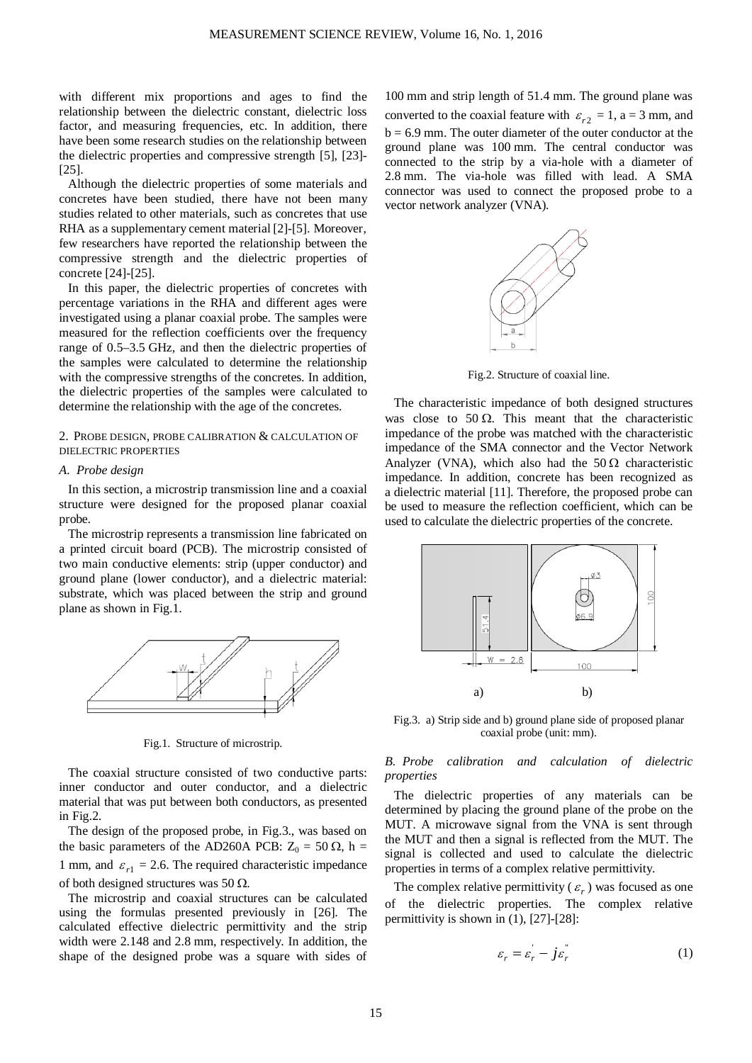with different mix proportions and ages to find the relationship between the dielectric constant, dielectric loss factor, and measuring frequencies, etc. In addition, there have been some research studies on the relationship between the dielectric properties and compressive strength [5], [23]- [25].

Although the dielectric properties of some materials and concretes have been studied, there have not been many studies related to other materials, such as concretes that use RHA as a supplementary cement material [2]-[5]. Moreover, few researchers have reported the relationship between the compressive strength and the dielectric properties of concrete [24]-[25].

In this paper, the dielectric properties of concretes with percentage variations in the RHA and different ages were investigated using a planar coaxial probe. The samples were measured for the reflection coefficients over the frequency range of 0.5–3.5 GHz, and then the dielectric properties of the samples were calculated to determine the relationship with the compressive strengths of the concretes. In addition, the dielectric properties of the samples were calculated to determine the relationship with the age of the concretes.

# 2. PROBE DESIGN, PROBE CALIBRATION & CALCULATION OF DIELECTRIC PROPERTIES

#### *A. Probe design*

In this section, a microstrip transmission line and a coaxial structure were designed for the proposed planar coaxial probe.

The microstrip represents a transmission line fabricated on a printed circuit board (PCB). The microstrip consisted of two main conductive elements: strip (upper conductor) and ground plane (lower conductor), and a dielectric material: substrate, which was placed between the strip and ground plane as shown in Fig.1.



Fig.1. Structure of microstrip.

The coaxial structure consisted of two conductive parts: inner conductor and outer conductor, and a dielectric material that was put between both conductors, as presented in Fig.2.

The design of the proposed probe, in Fig.3., was based on the basic parameters of the AD260A PCB:  $Z_0 = 50 \Omega$ , h = 1 mm, and  $\varepsilon_{r1} = 2.6$ . The required characteristic impedance of both designed structures was 50  $\Omega$ .

The microstrip and coaxial structures can be calculated using the formulas presented previously in [26]. The calculated effective dielectric permittivity and the strip width were 2.148 and 2.8 mm, respectively. In addition, the shape of the designed probe was a square with sides of

100 mm and strip length of 51.4 mm. The ground plane was converted to the coaxial feature with  $\varepsilon_{r2} = 1$ , a = 3 mm, and  $b = 6.9$  mm. The outer diameter of the outer conductor at the ground plane was 100 mm. The central conductor was connected to the strip by a via-hole with a diameter of 2.8 mm. The via-hole was filled with lead. A SMA connector was used to connect the proposed probe to a vector network analyzer (VNA).



Fig.2. Structure of coaxial line.

The characteristic impedance of both designed structures was close to 50  $\Omega$ . This meant that the characteristic impedance of the probe was matched with the characteristic impedance of the SMA connector and the Vector Network Analyzer (VNA), which also had the  $50 \Omega$  characteristic impedance. In addition, concrete has been recognized as a dielectric material [11]. Therefore, the proposed probe can be used to measure the reflection coefficient, which can be used to calculate the dielectric properties of the concrete.



Fig.3. a) Strip side and b) ground plane side of proposed planar coaxial probe (unit: mm).

# *B. Probe calibration and calculation of dielectric properties*

The dielectric properties of any materials can be determined by placing the ground plane of the probe on the MUT. A microwave signal from the VNA is sent through the MUT and then a signal is reflected from the MUT. The signal is collected and used to calculate the dielectric properties in terms of a complex relative permittivity.

The complex relative permittivity ( $\varepsilon_r$ ) was focused as one of the dielectric properties. The complex relative permittivity is shown in (1), [27]-[28]:

$$
\varepsilon_r = \varepsilon_r - j\varepsilon_r^{\dagger} \tag{1}
$$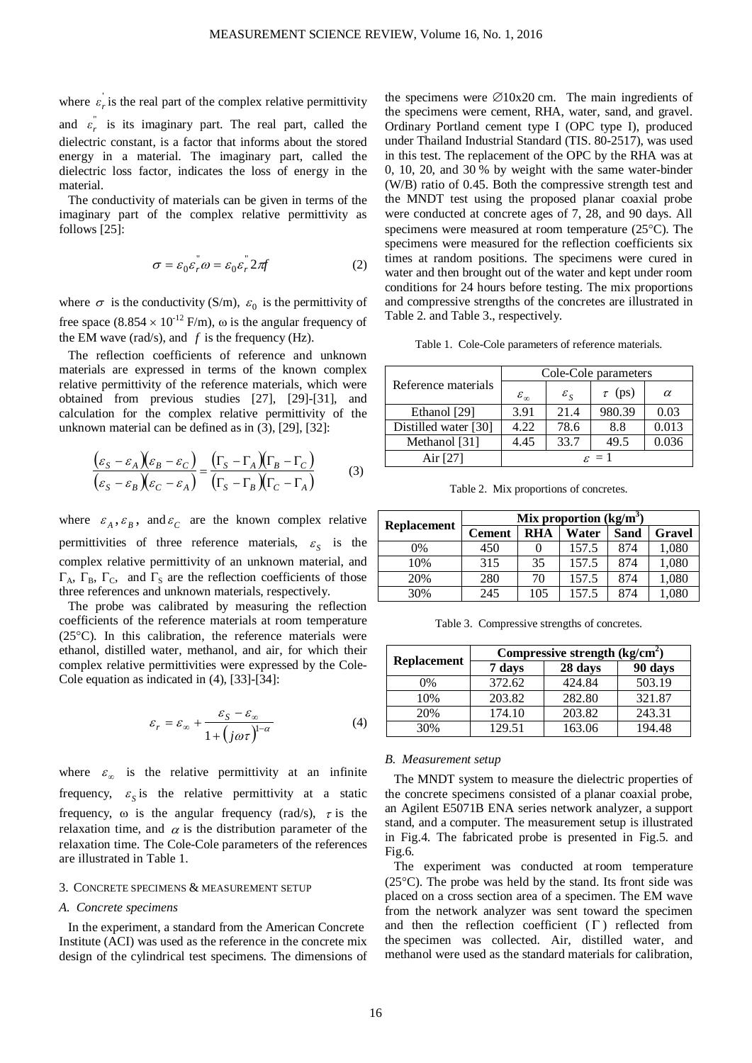where  $\varepsilon_r$  is the real part of the complex relative permittivity and  $\epsilon_r^r$  is its imaginary part. The real part, called the dielectric constant, is a factor that informs about the stored energy in a material. The imaginary part, called the dielectric loss factor, indicates the loss of energy in the material.

The conductivity of materials can be given in terms of the imaginary part of the complex relative permittivity as follows [25]:

$$
\sigma = \varepsilon_0 \varepsilon_r \omega = \varepsilon_0 \varepsilon_r^2 2\pi f \tag{2}
$$

where  $\sigma$  is the conductivity (S/m),  $\varepsilon_0$  is the permittivity of free space  $(8.854 \times 10^{-12} \text{ F/m})$ ,  $\omega$  is the angular frequency of the EM wave (rad/s), and  $f$  is the frequency (Hz).

The reflection coefficients of reference and unknown materials are expressed in terms of the known complex relative permittivity of the reference materials, which were obtained from previous studies [27], [29]-[31], and calculation for the complex relative permittivity of the unknown material can be defined as in (3), [29], [32]:

$$
\frac{(\varepsilon_S - \varepsilon_A)(\varepsilon_B - \varepsilon_C)}{(\varepsilon_S - \varepsilon_B)(\varepsilon_C - \varepsilon_A)} = \frac{(\Gamma_S - \Gamma_A)(\Gamma_B - \Gamma_C)}{(\Gamma_S - \Gamma_B)(\Gamma_C - \Gamma_A)}
$$
(3)

where  $\varepsilon_A$ ,  $\varepsilon_B$ , and  $\varepsilon_C$  are the known complex relative permittivities of three reference materials,  $\varepsilon_s$  is the complex relative permittivity of an unknown material, and  $\Gamma_A$ ,  $\Gamma_B$ ,  $\Gamma_C$ , and  $\Gamma_S$  are the reflection coefficients of those three references and unknown materials, respectively.

The probe was calibrated by measuring the reflection coefficients of the reference materials at room temperature (25°C). In this calibration, the reference materials were ethanol, distilled water, methanol, and air, for which their complex relative permittivities were expressed by the Cole-Cole equation as indicated in (4), [33]-[34]:

$$
\varepsilon_r = \varepsilon_\infty + \frac{\varepsilon_s - \varepsilon_\infty}{1 + \left(j\omega\tau\right)^{1-\alpha}}\tag{4}
$$

where  $\varepsilon_{\infty}$  is the relative permittivity at an infinite frequency,  $\varepsilon_{S}$  is the relative permittivity at a static frequency,  $\omega$  is the angular frequency (rad/s),  $\tau$  is the relaxation time, and  $\alpha$  is the distribution parameter of the relaxation time. The Cole-Cole parameters of the references are illustrated in Table 1.

## 3. CONCRETE SPECIMENS & MEASUREMENT SETUP

#### *A. Concrete specimens*

In the experiment, a standard from the American Concrete Institute (ACI) was used as the reference in the concrete mix design of the cylindrical test specimens. The dimensions of

the specimens were  $\varnothing$ 10x20 cm. The main ingredients of the specimens were cement, RHA, water, sand, and gravel. Ordinary Portland cement type I (OPC type I), produced under Thailand Industrial Standard (TIS. 80-2517), was used in this test. The replacement of the OPC by the RHA was at 0, 10, 20, and 30 % by weight with the same water-binder (W/B) ratio of 0.45. Both the compressive strength test and the MNDT test using the proposed planar coaxial probe were conducted at concrete ages of 7, 28, and 90 days. All specimens were measured at room temperature (25°C). The specimens were measured for the reflection coefficients six times at random positions. The specimens were cured in water and then brought out of the water and kept under room conditions for 24 hours before testing. The mix proportions and compressive strengths of the concretes are illustrated in Table 2. and Table 3., respectively.

Table 1. Cole-Cole parameters of reference materials.

|                      | Cole-Cole parameters   |                       |             |          |  |
|----------------------|------------------------|-----------------------|-------------|----------|--|
| Reference materials  | $\varepsilon_{\infty}$ | $\varepsilon_{\rm g}$ | $\tau$ (ps) | $\alpha$ |  |
| Ethanol [29]         | 3.91                   | 21.4                  | 980.39      | 0.03     |  |
| Distilled water [30] | 4.22                   | 78.6                  | 8.8         | 0.013    |  |
| Methanol [31]        | 4.45                   | 33.7                  | 49.5        | 0.036    |  |
| Air [27]             | $\varepsilon = 1$      |                       |             |          |  |

Table 2. Mix proportions of concretes.

|                    | Mix proportion $(kg/m3)$ |            |       |             |               |  |
|--------------------|--------------------------|------------|-------|-------------|---------------|--|
| <b>Replacement</b> | <b>Cement</b>            | <b>RHA</b> | Water | <b>Sand</b> | <b>Gravel</b> |  |
| $0\%$              | 450                      |            | 157.5 | 874         | 1,080         |  |
| 10%                | 315                      | 35         | 157.5 | 874         | 1,080         |  |
| 20%                | 280                      | 70         | 157.5 | 874         | 1,080         |  |
| 30%                | 245                      | 105        | 157.5 | 874         | ,080          |  |

Table 3. Compressive strengths of concretes.

|                    | Compressive strength $(kg/cm2)$ |         |         |  |  |
|--------------------|---------------------------------|---------|---------|--|--|
| <b>Replacement</b> | 7 days                          | 28 days | 90 days |  |  |
| $0\%$              | 372.62                          | 424.84  | 503.19  |  |  |
| 10%                | 203.82                          | 282.80  | 321.87  |  |  |
| 20%                | 174.10                          | 203.82  | 243.31  |  |  |
| 30%                | 129.51                          | 163.06  | 194.48  |  |  |

#### *B. Measurement setup*

The MNDT system to measure the dielectric properties of the concrete specimens consisted of a planar coaxial probe, an Agilent E5071B ENA series network analyzer, a support stand, and a computer. The measurement setup is illustrated in Fig.4. The fabricated probe is presented in Fig.5. and Fig.6.

The experiment was conducted at room temperature (25°C). The probe was held by the stand. Its front side was placed on a cross section area of a specimen. The EM wave from the network analyzer was sent toward the specimen and then the reflection coefficient  $( \Gamma )$  reflected from the specimen was collected. Air, distilled water, and methanol were used as the standard materials for calibration,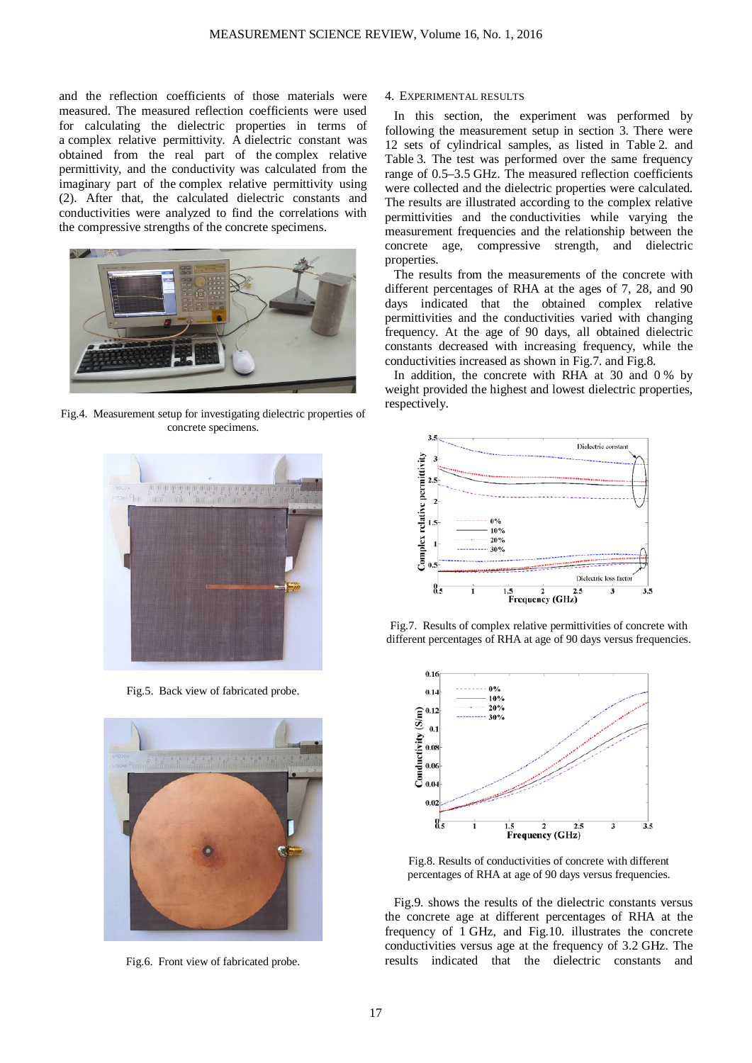and the reflection coefficients of those materials were measured. The measured reflection coefficients were used for calculating the dielectric properties in terms of a complex relative permittivity. A dielectric constant was obtained from the real part of the complex relative permittivity, and the conductivity was calculated from the imaginary part of the complex relative permittivity using (2). After that, the calculated dielectric constants and conductivities were analyzed to find the correlations with the compressive strengths of the concrete specimens.



Fig.4. Measurement setup for investigating dielectric properties of concrete specimens.



Fig.5. Back view of fabricated probe.



Fig.6. Front view of fabricated probe.

### 4. EXPERIMENTAL RESULTS

In this section, the experiment was performed by following the measurement setup in section 3. There were 12 sets of cylindrical samples, as listed in Table 2. and Table 3. The test was performed over the same frequency range of 0.5–3.5 GHz. The measured reflection coefficients were collected and the dielectric properties were calculated. The results are illustrated according to the complex relative permittivities and the conductivities while varying the measurement frequencies and the relationship between the concrete age, compressive strength, and dielectric properties.

The results from the measurements of the concrete with different percentages of RHA at the ages of 7, 28, and 90 days indicated that the obtained complex relative permittivities and the conductivities varied with changing frequency. At the age of 90 days, all obtained dielectric constants decreased with increasing frequency, while the conductivities increased as shown in Fig.7. and Fig.8.

In addition, the concrete with RHA at 30 and 0 % by weight provided the highest and lowest dielectric properties, respectively.



Fig.7. Results of complex relative permittivities of concrete with different percentages of RHA at age of 90 days versus frequencies.



Fig.8. Results of conductivities of concrete with different percentages of RHA at age of 90 days versus frequencies.

Fig.9. shows the results of the dielectric constants versus the concrete age at different percentages of RHA at the frequency of 1 GHz, and Fig.10. illustrates the concrete conductivities versus age at the frequency of 3.2 GHz. The results indicated that the dielectric constants and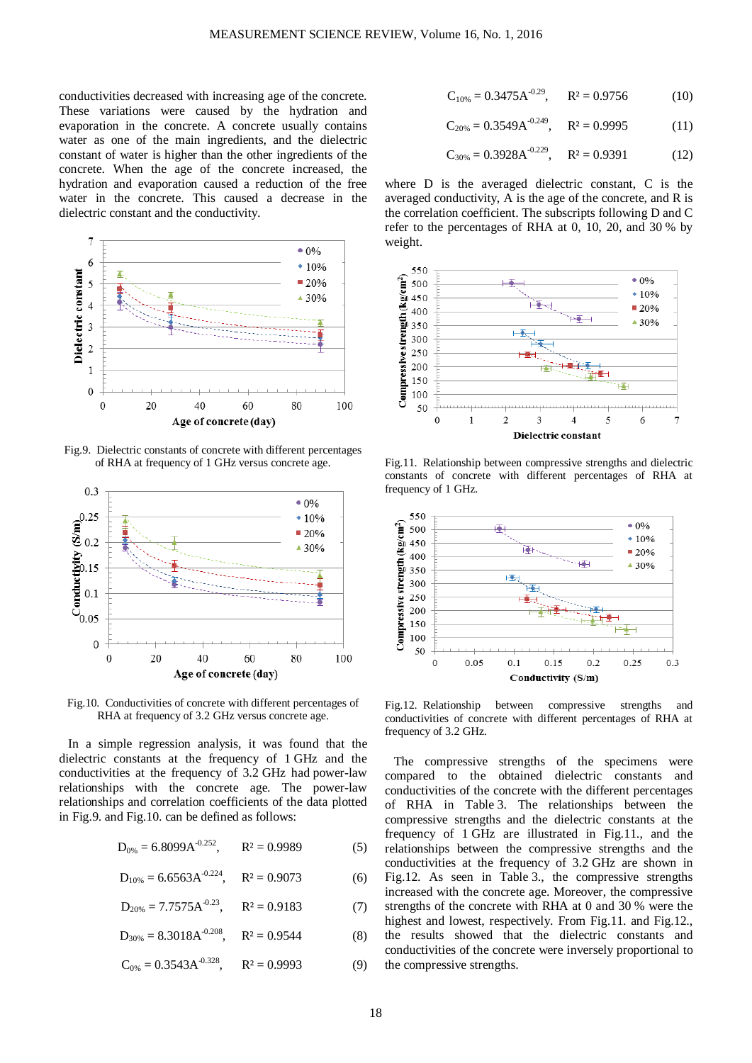conductivities decreased with increasing age of the concrete. These variations were caused by the hydration and evaporation in the concrete. A concrete usually contains water as one of the main ingredients, and the dielectric constant of water is higher than the other ingredients of the concrete. When the age of the concrete increased, the hydration and evaporation caused a reduction of the free water in the concrete. This caused a decrease in the dielectric constant and the conductivity.



Fig.9. Dielectric constants of concrete with different percentages of RHA at frequency of 1 GHz versus concrete age.



Fig.10. Conductivities of concrete with different percentages of RHA at frequency of 3.2 GHz versus concrete age.

In a simple regression analysis, it was found that the dielectric constants at the frequency of 1 GHz and the conductivities at the frequency of 3.2 GHz had power-law relationships with the concrete age. The power-law relationships and correlation coefficients of the data plotted in Fig.9. and Fig.10. can be defined as follows:

$$
D_{0\%} = 6.8099 A^{-0.252}, \qquad R^2 = 0.9989 \tag{5}
$$

$$
D_{10\%} = 6.6563A^{-0.224}, \quad R^2 = 0.9073 \tag{6}
$$

$$
D_{20\%} = 7.7575A^{-0.23}, \qquad R^2 = 0.9183 \tag{7}
$$

 $D_{30\%} = 8.3018A^{-0.208}$ ,  $R^2 = 0.9544$  (8)

 $C_{0\%} = 0.3543 \text{A}^{-0.328}$ ,  $R^2 = 0.9993$  (9)

$$
C_{10\%} = 0.3475 A^{-0.29}, \qquad R^2 = 0.9756 \tag{10}
$$

$$
C_{20\%} = 0.3549 A^{-0.249}, \quad R^2 = 0.9995 \tag{11}
$$

$$
C_{30\%} = 0.3928A^{-0.229}, \quad R^2 = 0.9391 \tag{12}
$$

where D is the averaged dielectric constant, C is the averaged conductivity, A is the age of the concrete, and R is the correlation coefficient. The subscripts following D and C refer to the percentages of RHA at 0, 10, 20, and 30 % by weight.



Fig.11. Relationship between compressive strengths and dielectric constants of concrete with different percentages of RHA at frequency of 1 GHz.



Fig.12. Relationship between compressive strengths and conductivities of concrete with different percentages of RHA at frequency of 3.2 GHz.

The compressive strengths of the specimens were compared to the obtained dielectric constants and conductivities of the concrete with the different percentages of RHA in Table 3. The relationships between the compressive strengths and the dielectric constants at the frequency of 1 GHz are illustrated in Fig.11., and the relationships between the compressive strengths and the conductivities at the frequency of 3.2 GHz are shown in Fig.12. As seen in Table 3., the compressive strengths increased with the concrete age. Moreover, the compressive strengths of the concrete with RHA at 0 and 30 % were the highest and lowest, respectively. From Fig.11, and Fig.12. the results showed that the dielectric constants and conductivities of the concrete were inversely proportional to the compressive strengths.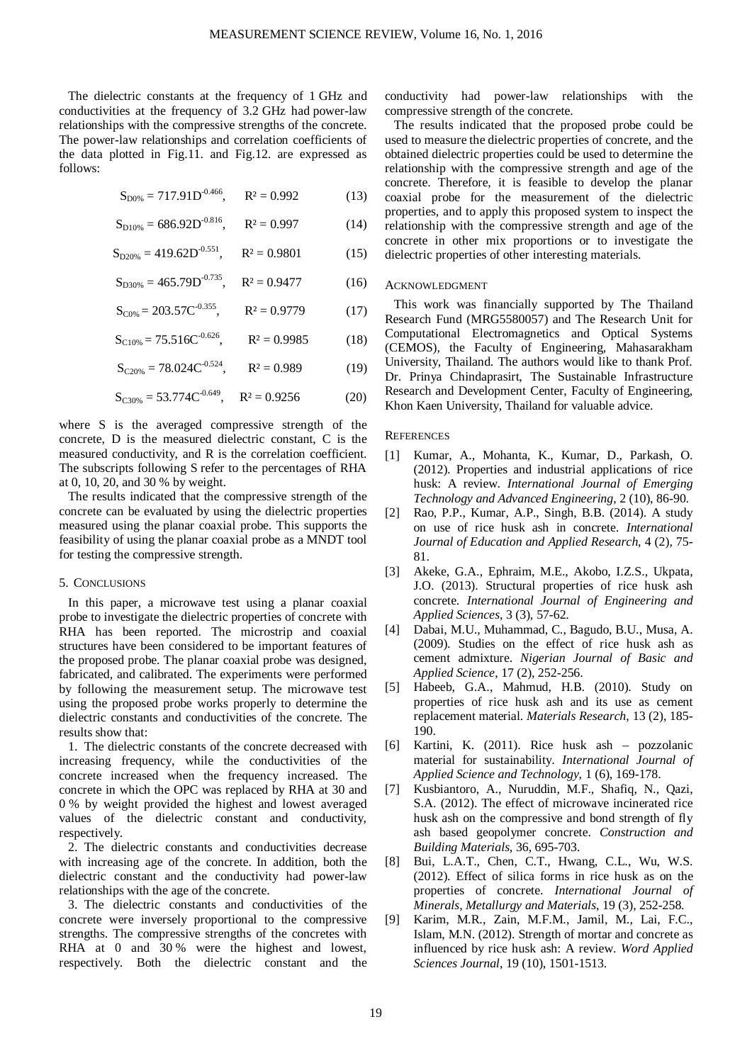The dielectric constants at the frequency of 1 GHz and conductivities at the frequency of 3.2 GHz had power-law relationships with the compressive strengths of the concrete. The power-law relationships and correlation coefficients of the data plotted in Fig.11. and Fig.12. are expressed as follows:

 $S_{D0\%} = 717.91D^{-0.466}$ ,  $R^2 = 0.992$  (13)

 $S_{D10\%} = 686.92D^{-0.816}$ ,  $R^2 = 0.997$  (14)

 $S_{D20\%} = 419.62D^{-0.551}$ ,  $R^2 = 0.9801$  (15)

 $S_{D30\%} = 465.79D^{-0.735}$ ,  $R^2 = 0.9477$  (16)

 $S_{C0\%} = 203.57C^{-0.355}$ ,  $R^2 = 0.9779$  (17)

 $S_{C10\%} = 75.516C^{-0.626}$ ,  $R^2 = 0.9985$  (18)

 $S_{C20\%} = 78.024C^{0.524}$ ,  $R^2 = 0.989$  (19)

 $S_{C30\%} = 53.774C^{-0.649}$ ,  $R^2 = 0.9256$  (20)

where S is the averaged compressive strength of the concrete, D is the measured dielectric constant, C is the measured conductivity, and R is the correlation coefficient. The subscripts following S refer to the percentages of RHA at 0, 10, 20, and 30 % by weight.

The results indicated that the compressive strength of the concrete can be evaluated by using the dielectric properties measured using the planar coaxial probe. This supports the feasibility of using the planar coaxial probe as a MNDT tool for testing the compressive strength.

#### 5. CONCLUSIONS

In this paper, a microwave test using a planar coaxial probe to investigate the dielectric properties of concrete with RHA has been reported. The microstrip and coaxial structures have been considered to be important features of the proposed probe. The planar coaxial probe was designed, fabricated, and calibrated. The experiments were performed by following the measurement setup. The microwave test using the proposed probe works properly to determine the dielectric constants and conductivities of the concrete. The results show that:

1. The dielectric constants of the concrete decreased with increasing frequency, while the conductivities of the concrete increased when the frequency increased. The concrete in which the OPC was replaced by RHA at 30 and 0 % by weight provided the highest and lowest averaged values of the dielectric constant and conductivity, respectively.

2. The dielectric constants and conductivities decrease with increasing age of the concrete. In addition, both the dielectric constant and the conductivity had power-law relationships with the age of the concrete.

3. The dielectric constants and conductivities of the concrete were inversely proportional to the compressive strengths. The compressive strengths of the concretes with RHA at 0 and 30% were the highest and lowest, respectively. Both the dielectric constant and the conductivity had power-law relationships with the compressive strength of the concrete.

The results indicated that the proposed probe could be used to measure the dielectric properties of concrete, and the obtained dielectric properties could be used to determine the relationship with the compressive strength and age of the concrete. Therefore, it is feasible to develop the planar coaxial probe for the measurement of the dielectric properties, and to apply this proposed system to inspect the relationship with the compressive strength and age of the concrete in other mix proportions or to investigate the dielectric properties of other interesting materials.

#### ACKNOWLEDGMENT

This work was financially supported by The Thailand Research Fund (MRG5580057) and The Research Unit for Computational Electromagnetics and Optical Systems (CEMOS), the Faculty of Engineering, Mahasarakham University, Thailand. The authors would like to thank Prof. Dr. Prinya Chindaprasirt, The Sustainable Infrastructure Research and Development Center, Faculty of Engineering, Khon Kaen University, Thailand for valuable advice.

## **REFERENCES**

- [1] Kumar, A., Mohanta, K., Kumar, D., Parkash, O. (2012). Properties and industrial applications of rice husk: A review. *International Journal of Emerging Technology and Advanced Engineering*, 2 (10), 86-90.
- [2] Rao, P.P., Kumar, A.P., Singh, B.B. (2014). A study on use of rice husk ash in concrete. *International Journal of Education and Applied Research*, 4 (2), 75- 81.
- [3] Akeke, G.A., Ephraim, M.E., Akobo, I.Z.S., Ukpata, J.O. (2013). Structural properties of rice husk ash concrete. *International Journal of Engineering and Applied Sciences*, 3 (3), 57-62.
- [4] Dabai, M.U., Muhammad, C., Bagudo, B.U., Musa, A. (2009). Studies on the effect of rice husk ash as cement admixture. *Nigerian Journal of Basic and Applied Science*, 17 (2), 252-256.
- [5] Habeeb, G.A., Mahmud, H.B. (2010). Study on properties of rice husk ash and its use as cement replacement material. *Materials Research*, 13 (2), 185- 190.
- [6] Kartini, K. (2011). Rice husk ash pozzolanic material for sustainability. *International Journal of Applied Science and Technology*, 1 (6), 169-178.
- [7] Kusbiantoro, A., Nuruddin, M.F., Shafiq, N., Qazi, S.A. (2012). The effect of microwave incinerated rice husk ash on the compressive and bond strength of fly ash based geopolymer concrete. *Construction and Building Materials*, 36, 695-703.
- [8] Bui, L.A.T., Chen, C.T., Hwang, C.L., Wu, W.S. (2012). Effect of silica forms in rice husk as on the properties of concrete. *International Journal of Minerals, Metallurgy and Materials*, 19 (3), 252-258.
- [9] Karim, M.R., Zain, M.F.M., Jamil, M., Lai, F.C., Islam, M.N. (2012). Strength of mortar and concrete as influenced by rice husk ash: A review. *Word Applied Sciences Journal*, 19 (10), 1501-1513.